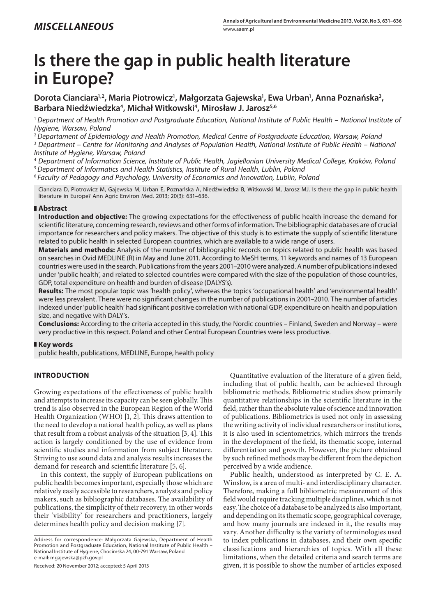# **Is there the gap in public health literature in Europe?**

Dorota Cianciara<sup>1,2</sup>, Maria Piotrowicz<sup>1</sup>, Małgorzata Gajewska<sup>1</sup>, Ewa Urban<sup>1</sup>, Anna Poznańska<sup>3</sup>, Barbara Niedźwiedzka<sup>4</sup>, Michał Witkowski<sup>4</sup>, Mirosław J. Jarosz<sup>5,6</sup>

<sup>1</sup>*Department of Health Promotion and Postgraduate Education, National Institute of Public Health – National Institute of Hygiene, Warsaw, Poland*

<sup>2</sup>*Departament of Epidemiology and Health Promotion, Medical Centre of Postgraduate Education, Warsaw, Poland*

<sup>3</sup> Department – Centre for Monitoring and Analyses of Population Health, National Institute of Public Health – National *Institute of Hygiene, Warsaw, Poland*

4  *Department of Information Science, Institute of Public Health, Jagiellonian University Medical College, Kraków, Poland*

<sup>5</sup>*Department of Informatics and Health Statistics, Institute of Rural Health, Lublin, Poland*

<sup>6</sup> *Faculty of Pedagogy and Psychology, University of Economics and Innovation, Lublin, Poland*

Cianciara D, Piotrowicz M, Gajewska M, Urban E, Poznańska A, Niedźwiedzka B, Witkowski M, Jarosz MJ. Is there the gap in public health literature in Europe? Ann Agric Environ Med. 2013; 20(3): 631–636.

## **Abstract**

**Introduction and objective:** The growing expectations for the effectiveness of public health increase the demand for scientific literature, concerning research, reviews and other forms of information. The bibliographic databases are of crucial importance for researchers and policy makers. The objective of this study is to estimate the supply of scientific literature related to public health in selected European countries, which are available to a wide range of users.

**Materials and methods:** Analysis of the number of bibliographic records on topics related to public health was based on searches in Ovid MEDLINE (R) in May and June 2011. According to MeSH terms, 11 keywords and names of 13 European countries were used in the search. Publications from the years 2001–2010 were analyzed. A number of publications indexed under 'public health', and related to selected countries were compared with the size of the population of those countries, GDP, total expenditure on health and burden of disease (DALYS's).

**Results:** The most popular topic was 'health policy', whereas the topics 'occupational health' and 'environmental health' were less prevalent. There were no significant changes in the number of publications in 2001–2010. The number of articles indexed under 'public health' had significant positive correlation with national GDP, expenditure on health and population size, and negative with DALY's.

**Conclusions:** According to the criteria accepted in this study, the Nordic countries – Finland, Sweden and Norway – were very productive in this respect. Poland and other Central European Countries were less productive.

#### **Key words**

public health, publications, MEDLINE, Europe, health policy

# **Introduction**

Growing expectations of the effectiveness of public health and attempts to increase its capacity can be seen globally. This trend is also observed in the European Region of the World Health Organization (WHO) [1, 2]. This draws attention to the need to develop a national health policy, as well as plans that result from a robust analysis of the situation [3, 4]. This action is largely conditioned by the use of evidence from scientific studies and information from subject literature. Striving to use sound data and analysis results increases the demand for research and scientific literature [5, 6].

In this context, the supply of European publications on public health becomes important, especially those which are relatively easily accessible to researchers, analysts and policy makers, such as bibliographic databases. The availability of publications, the simplicity of their recovery, in other words their 'visibility' for researchers and practitioners, largely determines health policy and decision making [7].

Address for correspondence: Małgorzata Gajewska, Department of Health Promotion and Postgraduate Education, National Institute of Public Health – National Institute of Hygiene, Chocimska 24, 00-791 Warsaw, Poland e-mail: mgajewska@pzh.gov.pl

Received: 20 November 2012; accepted: 5 April 2013

Quantitative evaluation of the literature of a given field, including that of public health, can be achieved through bibliometric methods. Bibliometric studies show primarily quantitative relationships in the scientific literature in the field, rather than the absolute value of science and innovation of publications. Bibliometrics is used not only in assessing the writing activity of individual researchers or institutions, it is also used in scientometrics, which mirrors the trends in the development of the field, its thematic scope, internal differentiation and growth. However, the picture obtained by such refined methods may be different from the depiction perceived by a wide audience.

Public health, understood as interpreted by C. E. A. Winslow, is a area of multi- and interdisciplinary character. Therefore, making a full bibliometric measurement of this field would require tracking multiple disciplines, which is not easy. The choice of a database to be analyzed is also important, and depending on its thematic scope, geographical coverage, and how many journals are indexed in it, the results may vary. Another difficulty is the variety of terminologies used to index publications in databases, and their own specific classifications and hierarchies of topics. With all these limitations, when the detailed criteria and search terms are given, it is possible to show the number of articles exposed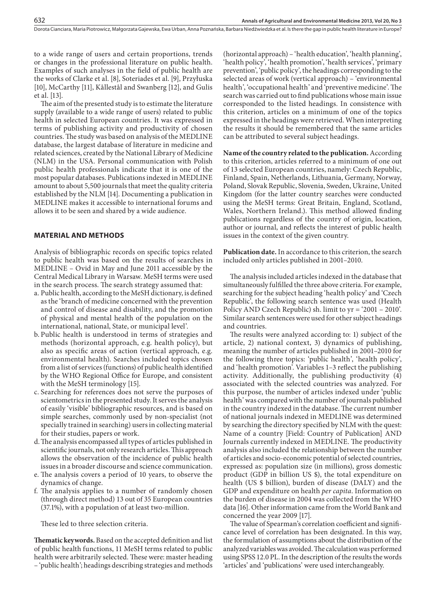to a wide range of users and certain proportions, trends or changes in the professional literature on public health. Examples of such analyses in the field of public health are the works of Clarke et al. [8], Soteriades et al. [9], Przyłuska [10], McCarthy [11], Kållestål and Swanberg [12], and Gulis et al. [13].

The aim of the presented study is to estimate the literature supply (available to a wide range of users) related to public health in selected European countries. It was expressed in terms of publishing activity and productivity of chosen countries. The study was based on analysis of the MEDLINE database, the largest database of literature in medicine and related sciences, created by the National Library of Medicine (NLM) in the USA. Personal communication with Polish public health professionals indicate that it is one of the most popular databases. Publications indexed in MEDLINE amount to about 5,500 journals that meet the quality criteria established by the NLM [14]. Documenting a publication in MEDLINE makes it accessible to international forums and allows it to be seen and shared by a wide audience.

## **Material and methods**

Analysis of bibliographic records on specific topics related to public health was based on the results of searches in MEDLINE – Ovid in May and June 2011 accessible by the Central Medical Library in Warsaw. MeSH terms were used in the search process. The search strategy assumed that:

- a. Public health, according to the MeSH dictionary, is defined as the 'branch of medicine concerned with the prevention and control of disease and disability, and the promotion of physical and mental health of the population on the international, national, State, or municipal level'.
- b. Public health is understood in terms of strategies and methods (horizontal approach, e.g. health policy), but also as specific areas of action (vertical approach, e.g. environmental health). Searches included topics chosen from a list of services (functions) of public health identified by the WHO Regional Office for Europe, and consistent with the MeSH terminology [15].
- c. Searching for references does not serve the purposes of scientometrics in the presented study. It serves the analysis of easily 'visible' bibliographic resources, and is based on simple searches, commonly used by non-specialist (not specially trained in searching) users in collecting material for their studies, papers or work.
- d.The analysis encompassed all types of articles published in scientific journals, not only research articles. This approach allows the observation of the incidence of public health issues in a broader discourse and science communication.
- e. The analysis covers a period of 10 years, to observe the dynamics of change.
- f. The analysis applies to a number of randomly chosen (through direct method) 13 out of 35 European countries (37.1%), with a population of at least two-million.

These led to three selection criteria.

**Thematic keywords.** Based on the accepted definition and list of public health functions, 11 MeSH terms related to public health were arbitrarily selected. These were: master heading – 'public health'; headings describing strategies and methods

(horizontal approach) – 'health education', 'health planning', 'health policy', 'health promotion', 'health services', 'primary prevention', 'public policy', the headings corresponding to the selected areas of work (vertical approach) – 'environmental health', 'occupational health' and 'preventive medicine'. The search was carried out to find publications whose main issue corresponded to the listed headings. In consistence with this criterion, articles on a minimum of one of the topics expressed in the headings were retrieved. When interpreting the results it should be remembered that the same articles can be attributed to several subject headings.

**Name of the country related to the publication.** According to this criterion, articles referred to a minimum of one out of 13 selected European countries, namely: Czech Republic, Finland, Spain, Netherlands, Lithuania, Germany, Norway, Poland, Slovak Republic, Slovenia, Sweden, Ukraine, United Kingdom (for the latter country searches were conducted using the MeSH terms: Great Britain, England, Scotland, Wales, Northern Ireland.). This method allowed finding publications regardless of the country of origin, location, author or journal, and reflects the interest of public health issues in the context of the given country.

**Publication date.** In accordance to this criterion, the search included only articles published in 2001–2010.

The analysis included articles indexed in the database that simultaneously fulfilled the three above criteria. For example, searching for the subject heading 'health policy' and 'Czech Republic', the following search sentence was used (Health Policy AND Czech Republic) sh. limit to yr = '2001 – 2010'. Similar search sentences were used for other subject headings and countries.

The results were analyzed according to: 1) subject of the article, 2) national context, 3) dynamics of publishing, meaning the number of articles published in 2001–2010 for the following three topics: 'public health', 'health policy', and 'health promotion'. Variables 1–3 reflect the publishing activity. Additionally, the publishing productivity  $(4)$ associated with the selected countries was analyzed. For this purpose, the number of articles indexed under 'public health' was compared with the number of journals published in the country indexed in the database. The current number of national journals indexed in MEDLINE was determined by searching the directory specified by NLM with the quest: Name of a country [Field: Country of Publication] AND Journals currently indexed in MEDLINE. The productivity analysis also included the relationship between the number of articles and socio-economic potential of selected countries, expressed as: population size (in millions), gross domestic product (GDP in billion US \$), the total expenditure on health (US \$ billion), burden of disease (DALY) and the GDP and expenditure on health *per capita*. Information on the burden of disease in 2004 was collected from the WHO data [16]. Other information came from the World Bank and concerned the year 2009 [17].

The value of Spearman's correlation coefficient and significance level of correlation has been designated. In this way, the formulation of assumptions about the distribution of the analyzed variables was avoided. The calculation was performed using SPSS 12.0 PL. In the description of the results the words 'articles' and 'publications' were used interchangeably.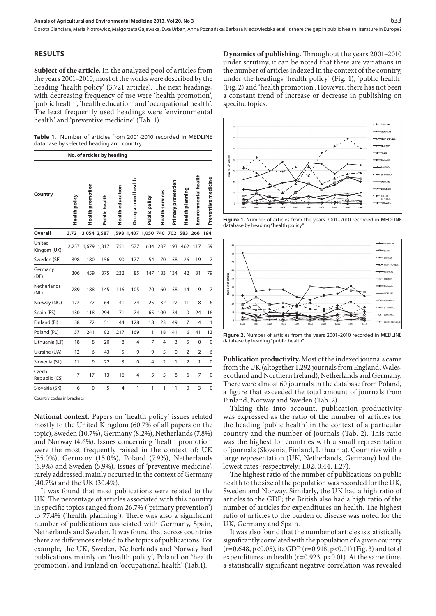#### **Results**

**Subject of the article.** In the analyzed pool of articles from the years 2001–2010, most of the works were described by the heading 'health policy' (3,721 articles). The next headings, with decreasing frequency of use were 'health promotion', 'public health', 'health education' and 'occupational health'. The least frequently used headings were 'environmental health' and 'preventive medicine' (Tab. 1).

**Table 1.** Number of articles from 2001-2010 recorded in MEDLINE database by selected heading and country.

**No. of articles by heading**

| Country                | Health policy | <b>Health promotion</b> | Public health | <b>Health education</b> | Occupational health | Public policy                               | Health services | <b>Primary prevention</b> | Health planning | Environmental health | Preventive medicine |
|------------------------|---------------|-------------------------|---------------|-------------------------|---------------------|---------------------------------------------|-----------------|---------------------------|-----------------|----------------------|---------------------|
| Overall                |               |                         |               |                         |                     | 3,721 3,054 2,587 1,598 1,407 1,050 740 702 |                 |                           | 583             | 266                  | 194                 |
| United<br>Kingom (UK)  | 2,257         |                         | 1,679 1,317   | 751                     | 577                 | 634                                         | 237             | 193                       | 462             | 117                  | 59                  |
| Sweden (SE)            | 398           | 180                     | 156           | 90                      | 177                 | 54                                          | 70              | 58                        | 26              | 19                   | 7                   |
| Germany<br>(DE)        | 306           | 459                     | 375           | 232                     | 85                  | 147                                         | 183             | 134                       | 42              | 31                   | 79                  |
| Netherlands<br>(NL)    | 289           | 188                     | 145           | 116                     | 105                 | 70                                          | 60              | 58                        | 14              | 9                    | 7                   |
| Norway (NO)            | 172           | 77                      | 64            | 41                      | 74                  | 25                                          | 32              | 22                        | 11              | 8                    | 6                   |
| Spain (ES)             | 130           | 118                     | 294           | 71                      | 74                  | 65                                          | 100             | 34                        | 0               | 24                   | 16                  |
| Finland (FI)           | 58            | 72                      | 51            | 44                      | 128                 | 18                                          | 23              | 49                        | 7               | 4                    | 1                   |
| Poland (PL)            | 57            | 241                     | 82            | 217                     | 169                 | 11                                          | 18              | 141                       | 6               | 41                   | 13                  |
| Lithuania (LT)         | 18            | 8                       | 20            | 8                       | 4                   | $\overline{7}$                              | $\overline{4}$  | 3                         | 5               | $\mathbf 0$          | $\mathbf 0$         |
| Ukraine (UA)           | 12            | 6                       | 43            | 5                       | 9                   | 9                                           | 5               | $\mathbf 0$               | $\overline{2}$  | $\overline{2}$       | 6                   |
| Slovenia (SL)          | 11            | 9                       | 22            | 3                       | $\mathbf 0$         | 4                                           | $\overline{2}$  | $\mathbf{1}$              | $\overline{2}$  | $\mathbf{1}$         | $\mathbf 0$         |
| Czech<br>Republic (CS) | 7             | 17                      | 13            | 16                      | 4                   | 5                                           | 5               | 8                         | 6               | 7                    | $\mathbf 0$         |
| Slovakia (SK)          | 6             | 0                       | 5             | 4                       | 1                   | 1                                           | 1               | 1                         | 0               | 3                    | $\mathbf 0$         |

Country codes in brackets

**National context.** Papers on 'health policy' issues related mostly to the United Kingdom (60.7% of all papers on the topic), Sweden (10.7%), Germany (8.2%), Netherlands (7.8%) and Norway (4.6%). Issues concerning 'health promotion' were the most frequently raised in the context of: UK (55.0%), Germany (15.0%), Poland (7.9%), Netherlands (6.9%) and Sweden (5.9%). Issues of 'preventive medicine', rarely addressed, mainly occurred in the context of Germany (40.7%) and the UK (30.4%).

It was found that most publications were related to the UK. The percentage of articles associated with this country in specific topics ranged from 26.7% ('primary prevention') to 77.4% ('health planning'). There was also a significant number of publications associated with Germany, Spain, Netherlands and Sweden. It was found that across countries there are differences related to the topics of publications. For example, the UK, Sweden, Netherlands and Norway had publications mainly on 'health policy', Poland on 'health promotion', and Finland on 'occupational health' (Tab.1).

**Dynamics of publishing.** Throughout the years 2001–2010 under scrutiny, it can be noted that there are variations in the number of articles indexed in the context of the country, under the headings 'health policy' (Fig. 1), 'public health' (Fig. 2) and 'health promotion'. However, there has not been a constant trend of increase or decrease in publishing on specific topics.



**Figure 1.** Number of articles from the years 2001–2010 recorded in MEDLINE database by heading "health policy"



**Figure 2.** Number of articles from the years 2001–2010 recorded in MEDLINE database by heading "public health"

**Publication productivity.** Most of the indexed journals came from the UK (altogether 1,292 journals from England, Wales, Scotland and Northern Ireland), Netherlands and Germany. There were almost 60 journals in the database from Poland, a figure that exceeded the total amount of journals from Finland, Norway and Sweden (Tab. 2).

Taking this into account, publication productivity was expressed as the ratio of the number of articles for the heading 'public health' in the context of a particular country and the number of journals (Tab. 2). This ratio was the highest for countries with a small representation of journals (Slovenia, Finland, Lithuania). Countries with a large representation (UK, Netherlands, Germany) had the lowest rates (respectively: 1.02, 0.44, 1.27).

The highest ratio of the number of publications on public health to the size of the population was recorded for the UK, Sweden and Norway. Similarly, the UK had a high ratio of articles to the GDP; the British also had a high ratio of the number of articles for expenditures on health. The highest ratio of articles to the burden of disease was noted for the UK, Germany and Spain.

It was also found that the number of articles is statistically significantly correlated with the population of a given country  $(r=0.648, p<0.05)$ , its GDP  $(r=0.918, p<0.01)$  (Fig. 3) and total expenditures on health ( $r=0.923$ ,  $p<0.01$ ). At the same time, a statistically significant negative correlation was revealed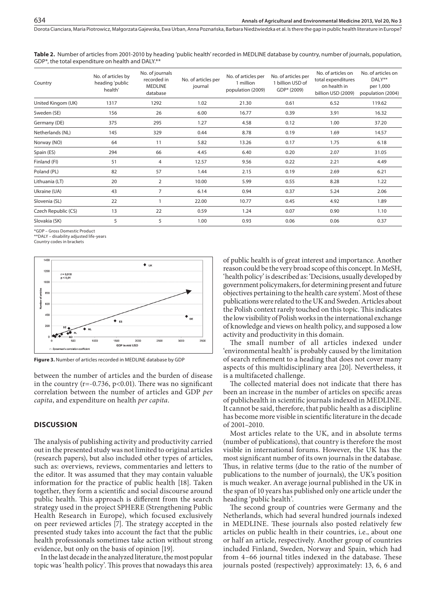**Table 2.** Number of articles from 2001-2010 by heading 'public health' recorded in MEDLINE database by country, number of journals, population, GDP\*, the total expenditure on health and DALY.\*\*

| Country             | No. of articles by<br>heading 'public<br>health' | No. of journals<br>recorded in<br><b>MEDLINE</b><br>database | No. of articles per<br>journal | No. of articles per<br>1 million<br>population (2009) | No. of articles per<br>1 billion USD of<br>GDP* (2009) | No. of articles on<br>total expenditures<br>on health in<br>billion USD (2009) | No. of articles on<br>DALY**<br>per 1,000<br>population (2004) |
|---------------------|--------------------------------------------------|--------------------------------------------------------------|--------------------------------|-------------------------------------------------------|--------------------------------------------------------|--------------------------------------------------------------------------------|----------------------------------------------------------------|
| United Kingom (UK)  | 1317                                             | 1292                                                         | 1.02                           | 21.30                                                 | 0.61                                                   | 6.52                                                                           | 119.62                                                         |
| Sweden (SE)         | 156                                              | 26                                                           | 6.00                           | 16.77                                                 | 0.39                                                   | 3.91                                                                           | 16.32                                                          |
| Germany (DE)        | 375                                              | 295                                                          | 1.27                           | 4.58                                                  | 0.12                                                   | 1.00                                                                           | 37.20                                                          |
| Netherlands (NL)    | 145                                              | 329                                                          | 0.44                           | 8.78                                                  | 0.19                                                   | 1.69                                                                           | 14.57                                                          |
| Norway (NO)         | 64                                               | 11                                                           | 5.82                           | 13.26                                                 | 0.17                                                   | 1.75                                                                           | 6.18                                                           |
| Spain (ES)          | 294                                              | 66                                                           | 4.45                           | 6.40                                                  | 0.20                                                   | 2.07                                                                           | 31.05                                                          |
| Finland (FI)        | 51                                               | 4                                                            | 12.57                          | 9.56                                                  | 0.22                                                   | 2.21                                                                           | 4.49                                                           |
| Poland (PL)         | 82                                               | 57                                                           | 1.44                           | 2.15                                                  | 0.19                                                   | 2.69                                                                           | 6.21                                                           |
| Lithuania (LT)      | 20                                               | $\overline{2}$                                               | 10.00                          | 5.99                                                  | 0.55                                                   | 8.28                                                                           | 1.22                                                           |
| Ukraine (UA)        | 43                                               | $\overline{7}$                                               | 6.14                           | 0.94                                                  | 0.37                                                   | 5.24                                                                           | 2.06                                                           |
| Slovenia (SL)       | 22                                               | $\mathbf{1}$                                                 | 22.00                          | 10.77                                                 | 0.45                                                   | 4.92                                                                           | 1.89                                                           |
| Czech Republic (CS) | 13                                               | 22                                                           | 0.59                           | 1.24                                                  | 0.07                                                   | 0.90                                                                           | 1.10                                                           |
| Slovakia (SK)       | 5                                                | 5                                                            | 1.00                           | 0.93                                                  | 0.06                                                   | 0.06                                                                           | 0.37                                                           |

\*GDP – Gross Domestic Product

\*\*DALY – disability adjusted life-years

Country codes in brackets



**Figure 3.** Number of articles recorded in MEDLINE database by GDP

between the number of articles and the burden of disease in the country ( $r = -0.736$ ,  $p < 0.01$ ). There was no significant correlation between the number of articles and GDP *per capita*, and expenditure on health *per capita*.

#### **Discussion**

The analysis of publishing activity and productivity carried out in the presented study was not limited to original articles (research papers), but also included other types of articles, such as: overviews, reviews, commentaries and letters to the editor. It was assumed that they may contain valuable information for the practice of public health [18]. Taken together, they form a scientific and social discourse around public health. This approach is different from the search strategy used in the project SPHERE (Strengthening Public Health Research in Europe), which focused exclusively on peer reviewed articles [7]. The strategy accepted in the presented study takes into account the fact that the public health professionals sometimes take action without strong evidence, but only on the basis of opinion [19].

In the last decade in the analyzed literature, the most popular topic was 'health policy'. This proves that nowadays this area of public health is of great interest and importance. Another reason could be the very broad scope of this concept. In MeSH, 'health policy' is described as: 'Decisions, usually developed by government policymakers, for determining present and future objectives pertaining to the health care system'. Most of these publications were related to the UK and Sweden. Articles about the Polish context rarely touched on this topic. This indicates the low visibility of Polish works in the international exchange of knowledge and views on health policy, and supposed a low activity and productivity in this domain.

The small number of all articles indexed under 'environmental health' is probably caused by the limitation of search refinement to a heading that does not cover many aspects of this multidisciplinary area [20]. Nevertheless, it is a multifaceted challenge.

The collected material does not indicate that there has been an increase in the number of articles on specific areas of publichealth in scientific journals indexed in MEDLINE. It cannot be said, therefore, that public health as a discipline has become more visible in scientific literature in the decade of 2001–2010.

Most articles relate to the UK, and in absolute terms (number of publications), that country is therefore the most visible in international forums. However, the UK has the most significant number of its own journals in the database. Thus, in relative terms (due to the ratio of the number of publications to the number of journals), the UK's position is much weaker. An average journal published in the UK in the span of 10 years has published only one article under the heading 'public health'.

The second group of countries were Germany and the Netherlands, which had several hundred journals indexed in MEDLINE. These journals also posted relatively few articles on public health in their countries, i.e., about one or half an article, respectively. Another group of countries included Finland, Sweden, Norway and Spain, which had from 4–66 journal titles indexed in the database. These journals posted (respectively) approximately: 13, 6, 6 and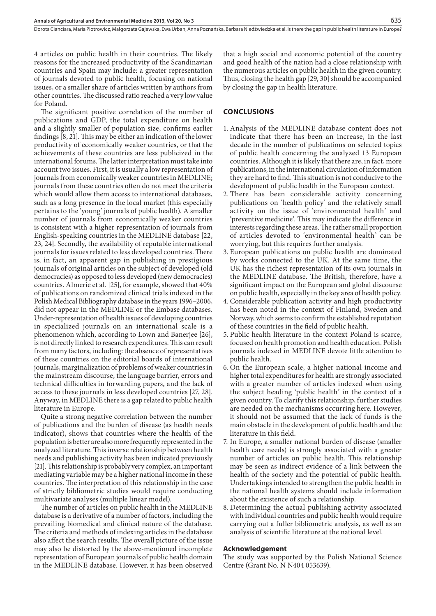4 articles on public health in their countries. The likely reasons for the increased productivity of the Scandinavian countries and Spain may include: a greater representation of journals devoted to public health, focusing on national issues, or a smaller share of articles written by authors from other countries. The discussed ratio reached a very low value for Poland.

The significant positive correlation of the number of publications and GDP, the total expenditure on health and a slightly smaller of population size, confirms earlier findings [8, 21]. This may be either an indication of the lower productivity of economically weaker countries, or that the achievements of these countries are less publicized in the international forums. The latter interpretation must take into account two issues. First, it is usually a low representation of journals from economically weaker countries in MEDLINE; journals from these countries often do not meet the criteria which would allow them access to international databases, such as a long presence in the local market (this especially pertains to the 'young' journals of public health). A smaller number of journals from economically weaker countries is consistent with a higher representation of journals from English-speaking countries in the MEDLINE database [22, 23, 24]. Secondly, the availability of reputable international journals for issues related to less developed countries. There is, in fact, an apparent gap in publishing in prestigious journals of original articles on the subject of developed (old democracies) as opposed to less developed (new democracies) countries. Almerie et al. [25], for example, showed that 40% of publications on randomized clinical trials indexed in the Polish Medical Bibliography database in the years 1996–2006, did not appear in the MEDLINE or the Embase databases. Under-representation of health issues of developing countries in specialized journals on an international scale is a phenomenon which, according to Lown and Banerjee [26], is not directly linked to research expenditures. This can result from many factors, including: the absence of representatives of these countries on the editorial boards of international journals, marginalization of problems of weaker countries in the mainstream discourse, the language barrier, errors and technical difficulties in forwarding papers, and the lack of access to these journals in less developed countries [27, 28]. Anyway, in MEDLINE there is a gap related to public health literature in Europe.

Quite a strong negative correlation between the number of publications and the burden of disease (as health needs indicator), shows that countries where the health of the population is better are also more frequently represented in the analyzed literature. This inverse relationship between health needs and publishing activity has been indicated previously [21]. This relationship is probably very complex, an important mediating variable may be a higher national income in these countries. The interpretation of this relationship in the case of strictly bibliometric studies would require conducting multivariate analyses (multiple linear model).

The number of articles on public health in the MEDLINE database is a derivative of a number of factors, including the prevailing biomedical and clinical nature of the database. The criteria and methods of indexing articles in the database also affect the search results. The overall picture of the issue may also be distorted by the above-mentioned incomplete representation of European journals of public health domain in the MEDLINE database. However, it has been observed

that a high social and economic potential of the country and good health of the nation had a close relationship with the numerous articles on public health in the given country. Thus, closing the health gap [29, 30] should be accompanied by closing the gap in health literature.

# **Conclusions**

- 1. Analysis of the MEDLINE database content does not indicate that there has been an increase, in the last decade in the number of publications on selected topics of public health concerning the analyzed 13 European countries. Although it is likely that there are, in fact, more publications, in the international circulation of information they are hard to find. This situation is not conducive to the development of public health in the European context.
- 2. There has been considerable activity concerning publications on 'health policy' and the relatively small activity on the issue of 'environmental health' and 'preventive medicine'. This may indicate the difference in interests regarding these areas. The rather small proportion of articles devoted to 'environmental health' can be worrying, but this requires further analysis.
- 3. European publications on public health are dominated by works connected to the UK. At the same time, the UK has the richest representation of its own journals in the MEDLINE database. The British, therefore, have a significant impact on the European and global discourse on public health, especially in the key area of health policy.
- 4. Considerable publication activity and high productivity has been noted in the context of Finland, Sweden and Norway, which seems to confirm the established reputation of these countries in the field of public health.
- 5. Public health literature in the context Poland is scarce, focused on health promotion and health education. Polish journals indexed in MEDLINE devote little attention to public health.
- 6. On the European scale, a higher national income and higher total expenditures for health are strongly associated with a greater number of articles indexed when using the subject heading 'public health' in the context of a given country. To clarify this relationship, further studies are needed on the mechanisms occurring here. However, it should not be assumed that the lack of funds is the main obstacle in the development of public health and the literature in this field.
- 7. In Europe, a smaller national burden of disease (smaller health care needs) is strongly associated with a greater number of articles on public health. This relationship may be seen as indirect evidence of a link between the health of the society and the potential of public health. Undertakings intended to strengthen the public health in the national health systems should include information about the existence of such a relationship.
- 8. Determining the actual publishing activity associated with individual countries and public health would require carrying out a fuller bibliometric analysis, as well as an analysis of scientific literature at the national level.

#### **Acknowledgement**

The study was supported by the Polish National Science Centre (Grant No. N N404 053639).